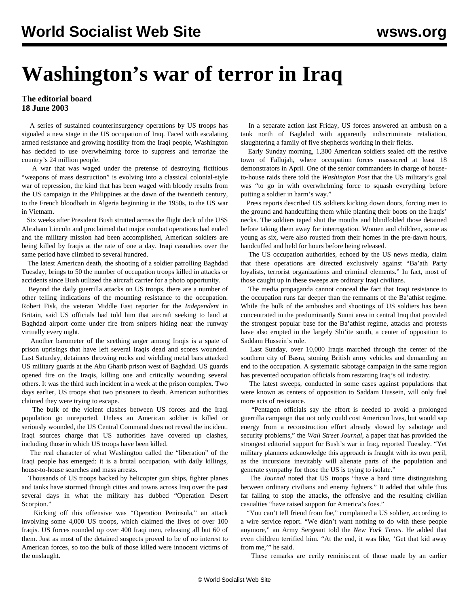## **Washington's war of terror in Iraq**

## **The editorial board 18 June 2003**

 A series of sustained counterinsurgency operations by US troops has signaled a new stage in the US occupation of Iraq. Faced with escalating armed resistance and growing hostility from the Iraqi people, Washington has decided to use overwhelming force to suppress and terrorize the country's 24 million people.

 A war that was waged under the pretense of destroying fictitious "weapons of mass destruction" is evolving into a classical colonial-style war of repression, the kind that has been waged with bloody results from the US campaign in the Philippines at the dawn of the twentieth century, to the French bloodbath in Algeria beginning in the 1950s, to the US war in Vietnam.

 Six weeks after President Bush strutted across the flight deck of the USS Abraham Lincoln and proclaimed that major combat operations had ended and the military mission had been accomplished, American soldiers are being killed by Iraqis at the rate of one a day. Iraqi casualties over the same period have climbed to several hundred.

 The latest American death, the shooting of a soldier patrolling Baghdad Tuesday, brings to 50 the number of occupation troops killed in attacks or accidents since Bush utilized the aircraft carrier for a photo opportunity.

 Beyond the daily guerrilla attacks on US troops, there are a number of other telling indications of the mounting resistance to the occupation. Robert Fisk, the veteran Middle East reporter for the *Independent* in Britain, said US officials had told him that aircraft seeking to land at Baghdad airport come under fire from snipers hiding near the runway virtually every night.

 Another barometer of the seething anger among Iraqis is a spate of prison uprisings that have left several Iraqis dead and scores wounded. Last Saturday, detainees throwing rocks and wielding metal bars attacked US military guards at the Abu Gharib prison west of Baghdad. US guards opened fire on the Iraqis, killing one and critically wounding several others. It was the third such incident in a week at the prison complex. Two days earlier, US troops shot two prisoners to death. American authorities claimed they were trying to escape.

 The bulk of the violent clashes between US forces and the Iraqi population go unreported. Unless an American soldier is killed or seriously wounded, the US Central Command does not reveal the incident. Iraqi sources charge that US authorities have covered up clashes, including those in which US troops have been killed.

 The real character of what Washington called the "liberation" of the Iraqi people has emerged: it is a brutal occupation, with daily killings, house-to-house searches and mass arrests.

 Thousands of US troops backed by helicopter gun ships, fighter planes and tanks have stormed through cities and towns across Iraq over the past several days in what the military has dubbed "Operation Desert Scorpion."

 Kicking off this offensive was "Operation Peninsula," an attack involving some 4,000 US troops, which claimed the lives of over 100 Iraqis. US forces rounded up over 400 Iraqi men, releasing all but 60 of them. Just as most of the detained suspects proved to be of no interest to American forces, so too the bulk of those killed were innocent victims of the onslaught.

 In a separate action last Friday, US forces answered an ambush on a tank north of Baghdad with apparently indiscriminate retaliation, slaughtering a family of five shepherds working in their fields.

 Early Sunday morning, 1,300 American soldiers sealed off the restive town of Fallujah, where occupation forces massacred at least 18 demonstrators in April. One of the senior commanders in charge of houseto-house raids there told the *Washington Post* that the US military's goal was "to go in with overwhelming force to squash everything before putting a soldier in harm's way."

 Press reports described US soldiers kicking down doors, forcing men to the ground and handcuffing them while planting their boots on the Iraqis' necks. The soldiers taped shut the mouths and blindfolded those detained before taking them away for interrogation. Women and children, some as young as six, were also rousted from their homes in the pre-dawn hours, handcuffed and held for hours before being released.

 The US occupation authorities, echoed by the US news media, claim that these operations are directed exclusively against "Ba'ath Party loyalists, terrorist organizations and criminal elements." In fact, most of those caught up in these sweeps are ordinary Iraqi civilians.

 The media propaganda cannot conceal the fact that Iraqi resistance to the occupation runs far deeper than the remnants of the Ba'athist regime. While the bulk of the ambushes and shootings of US soldiers has been concentrated in the predominantly Sunni area in central Iraq that provided the strongest popular base for the Ba'athist regime, attacks and protests have also erupted in the largely Shi'ite south, a center of opposition to Saddam Hussein's rule.

 Last Sunday, over 10,000 Iraqis marched through the center of the southern city of Basra, stoning British army vehicles and demanding an end to the occupation. A systematic sabotage campaign in the same region has prevented occupation officials from restarting Iraq's oil industry.

 The latest sweeps, conducted in some cases against populations that were known as centers of opposition to Saddam Hussein, will only fuel more acts of resistance.

 "Pentagon officials say the effort is needed to avoid a prolonged guerrilla campaign that not only could cost American lives, but would sap energy from a reconstruction effort already slowed by sabotage and security problems," the *Wall Street Journal*, a paper that has provided the strongest editorial support for Bush's war in Iraq, reported Tuesday. "Yet military planners acknowledge this approach is fraught with its own peril, as the incursions inevitably will alienate parts of the population and generate sympathy for those the US is trying to isolate."

 The *Journal* noted that US troops "have a hard time distinguishing between ordinary civilians and enemy fighters." It added that while thus far failing to stop the attacks, the offensive and the resulting civilian casualties "have raised support for America's foes."

"You can't tell friend from foe," complained a US soldier, according to a wire service report. "We didn't want nothing to do with these people anymore," an Army Sergeant told the *New York Times*. He added that even children terrified him. "At the end, it was like, 'Get that kid away from me,'" he said.

These remarks are eerily reminiscent of those made by an earlier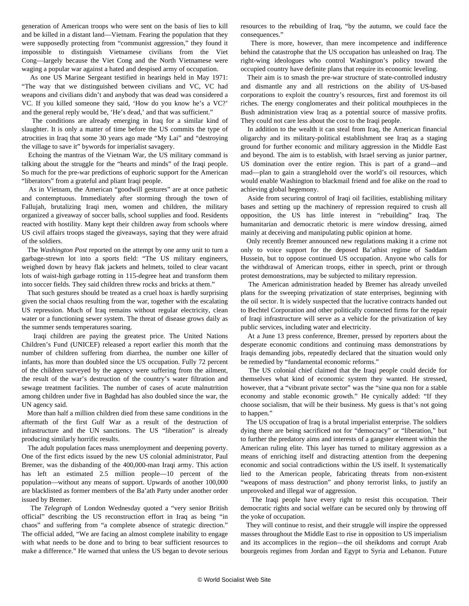generation of American troops who were sent on the basis of lies to kill and be killed in a distant land—Vietnam. Fearing the population that they were supposedly protecting from "communist aggression," they found it impossible to distinguish Vietnamese civilians from the Viet Cong—largely because the Viet Cong and the North Vietnamese were waging a popular war against a hated and despised army of occupation.

 As one US Marine Sergeant testified in hearings held in May 1971: "The way that we distinguished between civilians and VC, VC had weapons and civilians didn't and anybody that was dead was considered a VC. If you killed someone they said, 'How do you know he's a VC?' and the general reply would be, 'He's dead,' and that was sufficient."

 The conditions are already emerging in Iraq for a similar kind of slaughter. It is only a matter of time before the US commits the type of atrocities in Iraq that some 30 years ago made "My Lai" and "destroying the village to save it" bywords for imperialist savagery.

 Echoing the mantras of the Vietnam War, the US military command is talking about the struggle for the "hearts and minds" of the Iraqi people. So much for the pre-war predictions of euphoric support for the American "liberators" from a grateful and pliant Iraqi people.

 As in Vietnam, the American "goodwill gestures" are at once pathetic and contemptuous. Immediately after storming through the town of Fallujah, brutalizing Iraqi men, women and children, the military organized a giveaway of soccer balls, school supplies and food. Residents reacted with hostility. Many kept their children away from schools where US civil affairs troops staged the giveaways, saying that they were afraid of the soldiers.

 The *Washington Post* reported on the attempt by one army unit to turn a garbage-strewn lot into a sports field: "The US military engineers, weighed down by heavy flak jackets and helmets, toiled to clear vacant lots of waist-high garbage rotting in 115-degree heat and transform them into soccer fields. They said children threw rocks and bricks at them."

 That such gestures should be treated as a cruel hoax is hardly surprising given the social chaos resulting from the war, together with the escalating US repression. Much of Iraq remains without regular electricity, clean water or a functioning sewer system. The threat of disease grows daily as the summer sends temperatures soaring.

 Iraqi children are paying the greatest price. The United Nations Children's Fund (UNICEF) released a report earlier this month that the number of children suffering from diarrhea, the number one killer of infants, has more than doubled since the US occupation. Fully 72 percent of the children surveyed by the agency were suffering from the ailment, the result of the war's destruction of the country's water filtration and sewage treatment facilities. The number of cases of acute malnutrition among children under five in Baghdad has also doubled since the war, the UN agency said.

 More than half a million children died from these same conditions in the aftermath of the first Gulf War as a result of the destruction of infrastructure and the UN sanctions. The US "liberation" is already producing similarly horrific results.

 The adult population faces mass unemployment and deepening poverty. One of the first edicts issued by the new US colonial administrator, Paul Bremer, was the disbanding of the 400,000-man Iraqi army. This action has left an estimated 2.5 million people—10 percent of the population—without any means of support. Upwards of another 100,000 are blacklisted as former members of the Ba'ath Party under another order issued by Bremer.

 The *Telegraph* of London Wednesday quoted a "very senior British official" describing the US reconstruction effort in Iraq as being "in chaos" and suffering from "a complete absence of strategic direction." The official added, "We are facing an almost complete inability to engage with what needs to be done and to bring to bear sufficient resources to make a difference." He warned that unless the US began to devote serious

resources to the rebuilding of Iraq, "by the autumn, we could face the consequences."

 There is more, however, than mere incompetence and indifference behind the catastrophe that the US occupation has unleashed on Iraq. The right-wing ideologues who control Washington's policy toward the occupied country have definite plans that require its economic leveling.

 Their aim is to smash the pre-war structure of state-controlled industry and dismantle any and all restrictions on the ability of US-based corporations to exploit the country's resources, first and foremost its oil riches. The energy conglomerates and their political mouthpieces in the Bush administration view Iraq as a potential source of massive profits. They could not care less about the cost to the Iraqi people.

 In addition to the wealth it can steal from Iraq, the American financial oligarchy and its military-political establishment see Iraq as a staging ground for further economic and military aggression in the Middle East and beyond. The aim is to establish, with Israel serving as junior partner, US domination over the entire region. This is part of a grand—and mad—plan to gain a stranglehold over the world's oil resources, which would enable Washington to blackmail friend and foe alike on the road to achieving global hegemony.

 Aside from securing control of Iraqi oil facilities, establishing military bases and setting up the machinery of repression required to crush all opposition, the US has little interest in "rebuilding" Iraq. The humanitarian and democratic rhetoric is mere window dressing, aimed mainly at deceiving and manipulating public opinion at home.

 Only recently Bremer announced new regulations making it a crime not only to voice support for the deposed Ba'athist regime of Saddam Hussein, but to oppose continued US occupation. Anyone who calls for the withdrawal of American troops, either in speech, print or through protest demonstrations, may be subjected to military repression.

 The American administration headed by Bremer has already unveiled plans for the sweeping privatization of state enterprises, beginning with the oil sector. It is widely suspected that the lucrative contracts handed out to Bechtel Corporation and other politically connected firms for the repair of Iraqi infrastructure will serve as a vehicle for the privatization of key public services, including water and electricity.

 At a June 13 press conference, Bremer, pressed by reporters about the desperate economic conditions and continuing mass demonstrations by Iraqis demanding jobs, repeatedly declared that the situation would only be remedied by "fundamental economic reforms."

 The US colonial chief claimed that the Iraqi people could decide for themselves what kind of economic system they wanted. He stressed, however, that a "vibrant private sector" was the "sine qua non for a stable economy and stable economic growth." He cynically added: "If they choose socialism, that will be their business. My guess is that's not going to happen."

 The US occupation of Iraq is a brutal imperialist enterprise. The soldiers dying there are being sacrificed not for "democracy" or "liberation," but to further the predatory aims and interests of a gangster element within the American ruling elite. This layer has turned to military aggression as a means of enriching itself and distracting attention from the deepening economic and social contradictions within the US itself. It systematically lied to the American people, fabricating threats from non-existent "weapons of mass destruction" and phony terrorist links, to justify an unprovoked and illegal war of aggression.

 The Iraqi people have every right to resist this occupation. Their democratic rights and social welfare can be secured only by throwing off the yoke of occupation.

 They will continue to resist, and their struggle will inspire the oppressed masses throughout the Middle East to rise in opposition to US imperialism and its accomplices in the region—the oil sheikdoms and corrupt Arab bourgeois regimes from Jordan and Egypt to Syria and Lebanon. Future